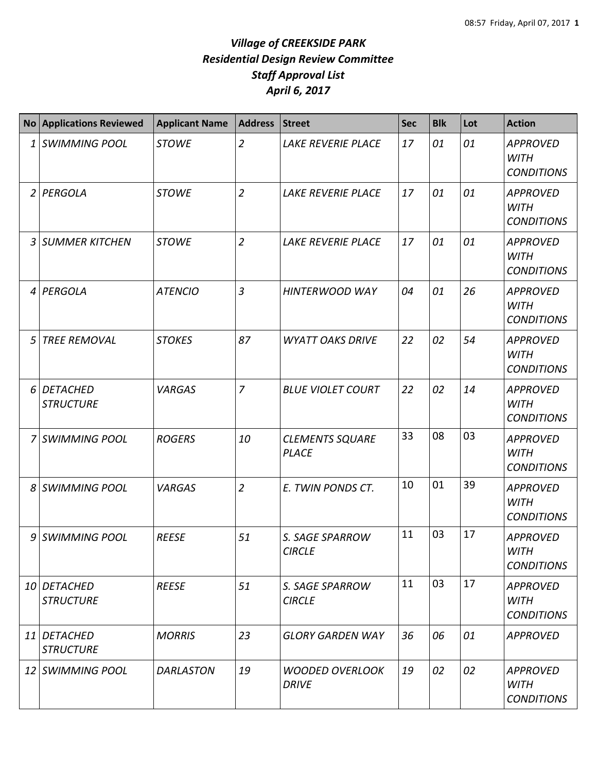|                | <b>No Applications Reviewed</b>     | <b>Applicant Name</b> | <b>Address</b> | <b>Street</b>                          | <b>Sec</b> | <b>Blk</b> | Lot | <b>Action</b>                                       |
|----------------|-------------------------------------|-----------------------|----------------|----------------------------------------|------------|------------|-----|-----------------------------------------------------|
| 1              | <b>SWIMMING POOL</b>                | <b>STOWE</b>          | $\overline{2}$ | LAKE REVERIE PLACE                     | 17         | 01         | 01  | <b>APPROVED</b><br><b>WITH</b><br><b>CONDITIONS</b> |
| $\overline{2}$ | PERGOLA                             | <b>STOWE</b>          | $\overline{2}$ | LAKE REVERIE PLACE                     | 17         | 01         | 01  | <b>APPROVED</b><br><b>WITH</b><br><b>CONDITIONS</b> |
| 3              | <b>SUMMER KITCHEN</b>               | <b>STOWE</b>          | $\overline{2}$ | <b>LAKE REVERIE PLACE</b>              | 17         | 01         | 01  | <b>APPROVED</b><br><b>WITH</b><br><b>CONDITIONS</b> |
| 4              | PERGOLA                             | <b>ATENCIO</b>        | $\overline{3}$ | <b>HINTERWOOD WAY</b>                  | 04         | 01         | 26  | <b>APPROVED</b><br><b>WITH</b><br><b>CONDITIONS</b> |
| 5              | <b>TREE REMOVAL</b>                 | <b>STOKES</b>         | 87             | <b>WYATT OAKS DRIVE</b>                | 22         | 02         | 54  | <b>APPROVED</b><br><b>WITH</b><br><b>CONDITIONS</b> |
| 6              | <b>DETACHED</b><br><b>STRUCTURE</b> | <b>VARGAS</b>         | $\overline{7}$ | <b>BLUE VIOLET COURT</b>               | 22         | 02         | 14  | <b>APPROVED</b><br><b>WITH</b><br><b>CONDITIONS</b> |
| 7              | <b>SWIMMING POOL</b>                | <b>ROGERS</b>         | 10             | <b>CLEMENTS SQUARE</b><br><b>PLACE</b> | 33         | 08         | 03  | <b>APPROVED</b><br><b>WITH</b><br><b>CONDITIONS</b> |
| 8              | <b>SWIMMING POOL</b>                | <b>VARGAS</b>         | $\overline{2}$ | E. TWIN PONDS CT.                      | 10         | 01         | 39  | <b>APPROVED</b><br><b>WITH</b><br><b>CONDITIONS</b> |
| 9              | <b>SWIMMING POOL</b>                | <b>REESE</b>          | 51             | S. SAGE SPARROW<br><b>CIRCLE</b>       | 11         | 03         | 17  | <b>APPROVED</b><br><b>WITH</b><br><b>CONDITIONS</b> |
|                | 10 DETACHED<br><b>STRUCTURE</b>     | <b>REESE</b>          | 51             | S. SAGE SPARROW<br><b>CIRCLE</b>       | 11         | 03         | 17  | <b>APPROVED</b><br><b>WITH</b><br><b>CONDITIONS</b> |
|                | 11 DETACHED<br><b>STRUCTURE</b>     | <b>MORRIS</b>         | 23             | <b>GLORY GARDEN WAY</b>                | 36         | 06         | 01  | <b>APPROVED</b>                                     |
|                | 12 SWIMMING POOL                    | <b>DARLASTON</b>      | 19             | <b>WOODED OVERLOOK</b><br><b>DRIVE</b> | 19         | 02         | 02  | <b>APPROVED</b><br><b>WITH</b><br><b>CONDITIONS</b> |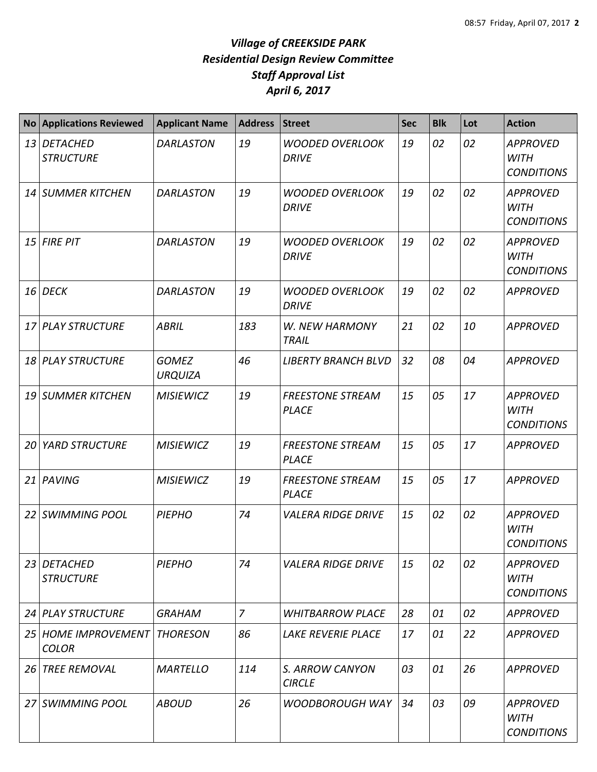|           | No Applications Reviewed            | <b>Applicant Name</b>          | <b>Address</b> | Street                                  | <b>Sec</b> | <b>Blk</b> | Lot | <b>Action</b>                                       |
|-----------|-------------------------------------|--------------------------------|----------------|-----------------------------------------|------------|------------|-----|-----------------------------------------------------|
|           | 13 DETACHED<br><b>STRUCTURE</b>     | <b>DARLASTON</b>               | 19             | <b>WOODED OVERLOOK</b><br><b>DRIVE</b>  | 19         | 02         | 02  | <b>APPROVED</b><br><b>WITH</b><br><b>CONDITIONS</b> |
|           | 14 SUMMER KITCHEN                   | <b>DARLASTON</b>               | 19             | <b>WOODED OVERLOOK</b><br><b>DRIVE</b>  | 19         | 02         | 02  | <b>APPROVED</b><br><b>WITH</b><br><b>CONDITIONS</b> |
|           | $15$ FIRE PIT                       | <b>DARLASTON</b>               | 19             | <b>WOODED OVERLOOK</b><br><b>DRIVE</b>  | 19         | 02         | 02  | <b>APPROVED</b><br><b>WITH</b><br><b>CONDITIONS</b> |
| <b>16</b> | <b>DECK</b>                         | <b>DARLASTON</b>               | 19             | <b>WOODED OVERLOOK</b><br><b>DRIVE</b>  | 19         | 02         | 02  | <b>APPROVED</b>                                     |
|           | 17 PLAY STRUCTURE                   | <b>ABRIL</b>                   | 183            | W. NEW HARMONY<br><b>TRAIL</b>          | 21         | 02         | 10  | <b>APPROVED</b>                                     |
| 18        | <b>PLAY STRUCTURE</b>               | <b>GOMEZ</b><br><b>URQUIZA</b> | 46             | <b>LIBERTY BRANCH BLVD</b>              | 32         | 08         | 04  | <b>APPROVED</b>                                     |
| 19        | <b>SUMMER KITCHEN</b>               | <b>MISIEWICZ</b>               | 19             | <b>FREESTONE STREAM</b><br><b>PLACE</b> | 15         | 05         | 17  | <b>APPROVED</b><br><b>WITH</b><br><b>CONDITIONS</b> |
| 20        | <b>YARD STRUCTURE</b>               | <b>MISIEWICZ</b>               | 19             | <b>FREESTONE STREAM</b><br><b>PLACE</b> | 15         | 05         | 17  | <b>APPROVED</b>                                     |
|           | 21 PAVING                           | <b>MISIEWICZ</b>               | 19             | <b>FREESTONE STREAM</b><br><b>PLACE</b> | 15         | 05         | 17  | <b>APPROVED</b>                                     |
| 22        | <b>SWIMMING POOL</b>                | <b>PIEPHO</b>                  | 74             | <b>VALERA RIDGE DRIVE</b>               | 15         | 02         | 02  | <b>APPROVED</b><br><b>WITH</b><br><b>CONDITIONS</b> |
|           | 23 DETACHED<br><b>STRUCTURE</b>     | <b>PIEPHO</b>                  | 74             | <i><b>VALERA RIDGE DRIVE</b></i>        | 15         | 02         | 02  | <b>APPROVED</b><br><b>WITH</b><br><b>CONDITIONS</b> |
|           | 24 PLAY STRUCTURE                   | <b>GRAHAM</b>                  | $\overline{7}$ | <i><b>WHITBARROW PLACE</b></i>          | 28         | 01         | 02  | <b>APPROVED</b>                                     |
|           | 25 HOME IMPROVEMENT<br><b>COLOR</b> | <b>THORESON</b>                | 86             | <b>LAKE REVERIE PLACE</b>               | 17         | 01         | 22  | <b>APPROVED</b>                                     |
| 26 I      | <b>TREE REMOVAL</b>                 | <b>MARTELLO</b>                | 114            | S. ARROW CANYON<br><b>CIRCLE</b>        | 03         | 01         | 26  | <b>APPROVED</b>                                     |
|           | 27 SWIMMING POOL                    | <b>ABOUD</b>                   | 26             | WOODBOROUGH WAY                         | 34         | 03         | 09  | <b>APPROVED</b><br><b>WITH</b><br><b>CONDITIONS</b> |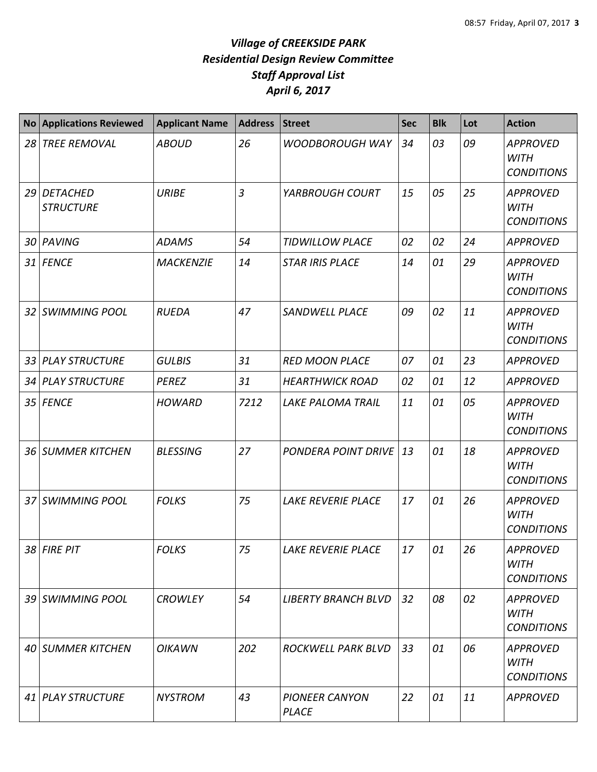| <b>No</b> | <b>Applications Reviewed</b> | <b>Applicant Name</b> | <b>Address</b> | <b>Street</b>                         | <b>Sec</b> | <b>Blk</b> | Lot | <b>Action</b>                                       |
|-----------|------------------------------|-----------------------|----------------|---------------------------------------|------------|------------|-----|-----------------------------------------------------|
| 28        | <b>TREE REMOVAL</b>          | <b>ABOUD</b>          | 26             | <b>WOODBOROUGH WAY</b>                | 34         | 03         | 09  | <b>APPROVED</b><br><b>WITH</b><br><b>CONDITIONS</b> |
| 29        | DETACHED<br><b>STRUCTURE</b> | <b>URIBE</b>          | $\overline{3}$ | YARBROUGH COURT                       | 15         | 05         | 25  | <b>APPROVED</b><br><b>WITH</b><br><b>CONDITIONS</b> |
|           | 30 PAVING                    | <b>ADAMS</b>          | 54             | <b>TIDWILLOW PLACE</b>                | 02         | 02         | 24  | <b>APPROVED</b>                                     |
| 31        | <b>FENCE</b>                 | <b>MACKENZIE</b>      | 14             | <b>STAR IRIS PLACE</b>                | 14         | 01         | 29  | <b>APPROVED</b><br><b>WITH</b><br><b>CONDITIONS</b> |
| 32        | <b>SWIMMING POOL</b>         | <b>RUEDA</b>          | 47             | <b>SANDWELL PLACE</b>                 | 09         | 02         | 11  | <b>APPROVED</b><br><b>WITH</b><br><b>CONDITIONS</b> |
| 33        | <b>PLAY STRUCTURE</b>        | <b>GULBIS</b>         | 31             | <b>RED MOON PLACE</b>                 | 07         | 01         | 23  | <b>APPROVED</b>                                     |
|           | 34 PLAY STRUCTURE            | <b>PEREZ</b>          | 31             | <b>HEARTHWICK ROAD</b>                | 02         | 01         | 12  | <b>APPROVED</b>                                     |
|           | 35 FENCE                     | <b>HOWARD</b>         | 7212           | <b>LAKE PALOMA TRAIL</b>              | 11         | 01         | 05  | <b>APPROVED</b><br><b>WITH</b><br><b>CONDITIONS</b> |
|           | 36 SUMMER KITCHEN            | <b>BLESSING</b>       | 27             | PONDERA POINT DRIVE                   | 13         | 01         | 18  | <b>APPROVED</b><br><b>WITH</b><br><b>CONDITIONS</b> |
| 37        | <b>SWIMMING POOL</b>         | <b>FOLKS</b>          | 75             | <b>LAKE REVERIE PLACE</b>             | 17         | 01         | 26  | <b>APPROVED</b><br><b>WITH</b><br><b>CONDITIONS</b> |
|           | 38 FIRE PIT                  | <b>FOLKS</b>          | 75             | LAKE REVERIE PLACE                    | 17         | 01         | 26  | <b>APPROVED</b><br><b>WITH</b><br><b>CONDITIONS</b> |
|           | 39 SWIMMING POOL             | <b>CROWLEY</b>        | 54             | <b>LIBERTY BRANCH BLVD</b>            | 32         | 08         | 02  | <b>APPROVED</b><br><b>WITH</b><br><b>CONDITIONS</b> |
|           | 40 SUMMER KITCHEN            | <b>OIKAWN</b>         | 202            | ROCKWELL PARK BLVD                    | 33         | 01         | 06  | <b>APPROVED</b><br><b>WITH</b><br><b>CONDITIONS</b> |
|           | 41 PLAY STRUCTURE            | <b>NYSTROM</b>        | 43             | <b>PIONEER CANYON</b><br><b>PLACE</b> | 22         | 01         | 11  | <b>APPROVED</b>                                     |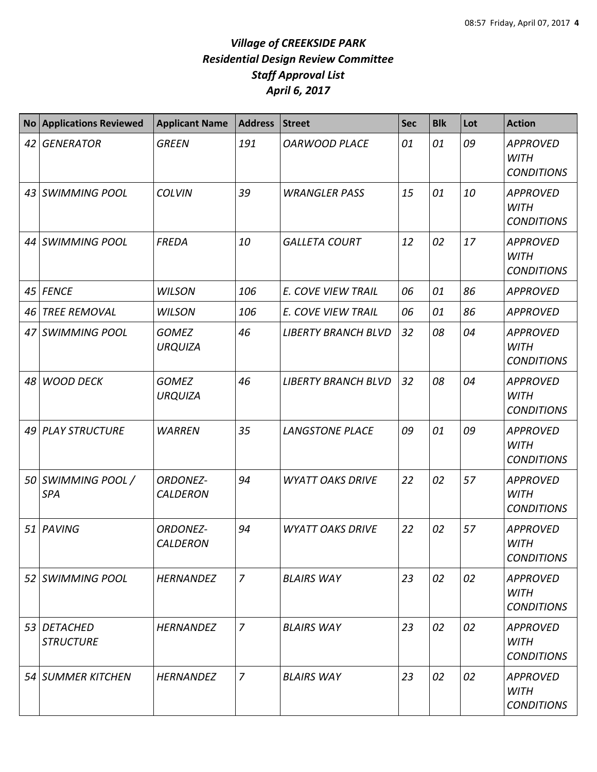|    | <b>No Applications Reviewed</b>  | <b>Applicant Name</b>              | <b>Address</b> | <b>Street</b>              | <b>Sec</b> | <b>Blk</b> | Lot | <b>Action</b>                                       |
|----|----------------------------------|------------------------------------|----------------|----------------------------|------------|------------|-----|-----------------------------------------------------|
| 42 | <b>GENERATOR</b>                 | <b>GREEN</b>                       | 191            | <b>OARWOOD PLACE</b>       | 01         | 01         | 09  | <b>APPROVED</b><br><b>WITH</b><br><b>CONDITIONS</b> |
| 43 | SWIMMING POOL                    | <b>COLVIN</b>                      | 39             | <b>WRANGLER PASS</b>       | 15         | 01         | 10  | <b>APPROVED</b><br><b>WITH</b><br><b>CONDITIONS</b> |
|    | 44 SWIMMING POOL                 | <b>FREDA</b>                       | 10             | <b>GALLETA COURT</b>       | 12         | 02         | 17  | <b>APPROVED</b><br><b>WITH</b><br><b>CONDITIONS</b> |
| 45 | <b>FENCE</b>                     | <b>WILSON</b>                      | 106            | E. COVE VIEW TRAIL         | 06         | 01         | 86  | <b>APPROVED</b>                                     |
| 46 | <b>TREE REMOVAL</b>              | <b>WILSON</b>                      | 106            | E. COVE VIEW TRAIL         | 06         | 01         | 86  | <b>APPROVED</b>                                     |
| 47 | <b>SWIMMING POOL</b>             | <b>GOMEZ</b><br><b>URQUIZA</b>     | 46             | <b>LIBERTY BRANCH BLVD</b> | 32         | 08         | 04  | <b>APPROVED</b><br><b>WITH</b><br><b>CONDITIONS</b> |
|    | 48 WOOD DECK                     | <b>GOMEZ</b><br><b>URQUIZA</b>     | 46             | <b>LIBERTY BRANCH BLVD</b> | 32         | 08         | 04  | <b>APPROVED</b><br><b>WITH</b><br><b>CONDITIONS</b> |
| 49 | <b>PLAY STRUCTURE</b>            | <b>WARREN</b>                      | 35             | <b>LANGSTONE PLACE</b>     | 09         | 01         | 09  | <b>APPROVED</b><br><b>WITH</b><br><b>CONDITIONS</b> |
|    | 50 SWIMMING POOL /<br><b>SPA</b> | <b>ORDONEZ-</b><br><b>CALDERON</b> | 94             | <b>WYATT OAKS DRIVE</b>    | 22         | 02         | 57  | <b>APPROVED</b><br><b>WITH</b><br><b>CONDITIONS</b> |
| 51 | PAVING                           | <b>ORDONEZ-</b><br><b>CALDERON</b> | 94             | <b>WYATT OAKS DRIVE</b>    | 22         | 02         | 57  | <b>APPROVED</b><br><b>WITH</b><br><b>CONDITIONS</b> |
| 52 | SWIMMING POOL                    | <b>HERNANDEZ</b>                   | $\overline{7}$ | <b>BLAIRS WAY</b>          | 23         | 02         | 02  | <b>APPROVED</b><br><b>WITH</b><br><b>CONDITIONS</b> |
|    | 53 DETACHED<br><b>STRUCTURE</b>  | <b>HERNANDEZ</b>                   | $\overline{7}$ | <b>BLAIRS WAY</b>          | 23         | 02         | 02  | <b>APPROVED</b><br><b>WITH</b><br><b>CONDITIONS</b> |
|    | 54 SUMMER KITCHEN                | <b>HERNANDEZ</b>                   | $\overline{7}$ | <b>BLAIRS WAY</b>          | 23         | 02         | 02  | APPROVED<br><b>WITH</b><br><b>CONDITIONS</b>        |